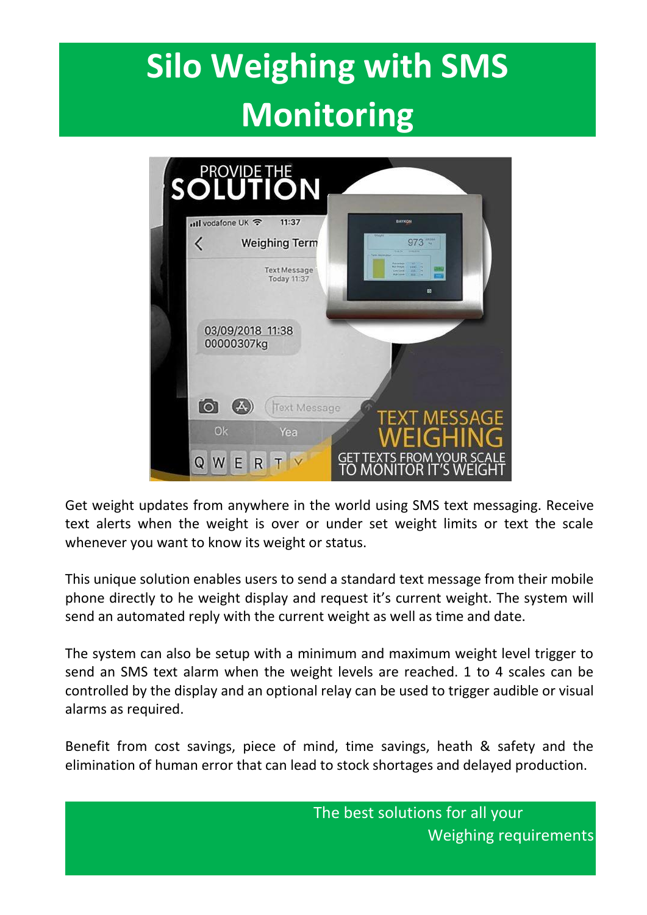# **Silo Weighing with SMS Monitoring**

|  | <b>SOLUTION</b>                                                                |                                                             |
|--|--------------------------------------------------------------------------------|-------------------------------------------------------------|
|  | nil vodafone UK 중<br>11:37<br><b>Weighing Term</b><br>K<br><b>Text Message</b> | <b>BAYKON</b><br>$973 -$<br><b>Mar Peaces</b><br>$1000 - 1$ |
|  | Today 11:37                                                                    | <b>FRACTION</b><br>Link Court<br><b>WEST LINE</b><br>ø      |
|  | 03/09/2018 11:38<br>00000307kg                                                 |                                                             |
|  | <b>lo</b><br><b>Text Message</b><br>Ok<br>Yea                                  | <b>TEXT MESSAGE</b><br>EIGHIN                               |
|  | Q<br>E<br>R                                                                    | GET TEXTS FROM YOUR SCALE<br>TO MONITOR IT'S WEIGHT         |

Get weight updates from anywhere in the world using SMS text messaging. Receive text alerts when the weight is over or under set weight limits or text the scale whenever you want to know its weight or status.

This unique solution enables users to send a standard text message from their mobile phone directly to he weight display and request it's current weight. The system will send an automated reply with the current weight as well as time and date.

The system can also be setup with a minimum and maximum weight level trigger to send an SMS text alarm when the weight levels are reached. 1 to 4 scales can be controlled by the display and an optional relay can be used to trigger audible or visual alarms as required.

Benefit from cost savings, piece of mind, time savings, heath & safety and the elimination of human error that can lead to stock shortages and delayed production.

> The best solutions for all your Weighing requirements